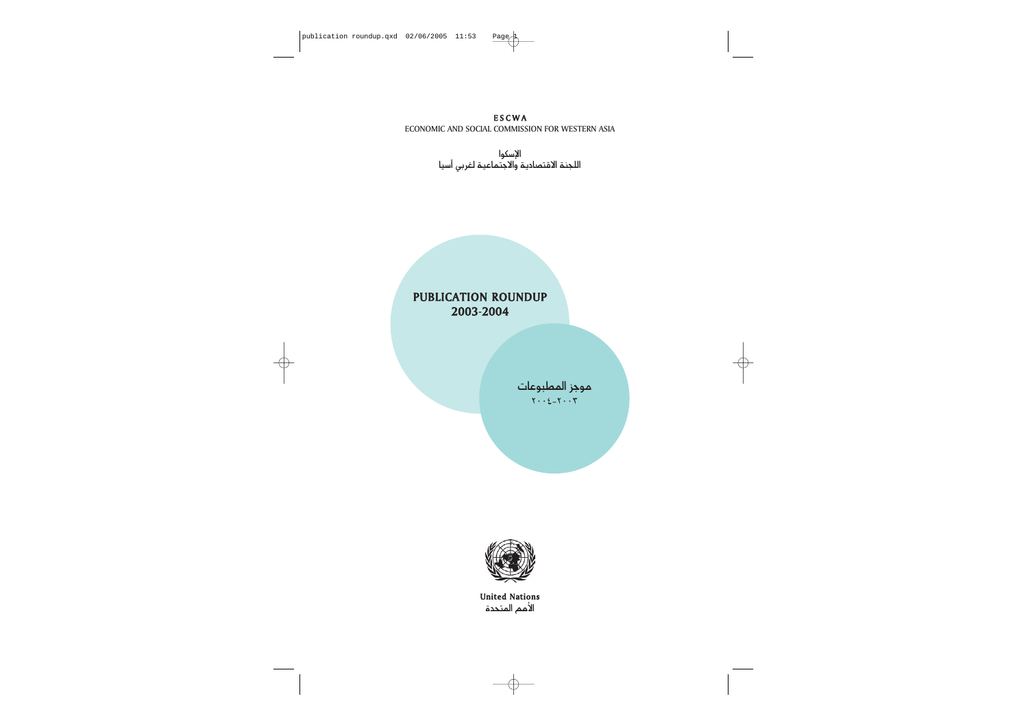$\begin{array}{c} \textbf{ES C WA} \\ \textbf{ECONOMIC AND SOCIAL COMMISSION FOR WESTERN ASIA} \end{array}$ 

الإسكوا<br>اللجنة الاقتصادية والاجتماعية لغربي آسيا

PUBLICATION ROUNDUP 2003-2004

موجز المطبوعات<br>۲۰۰<sub>۴–۲</sub>۰۰۲



**United Nations** الأمم المتحدة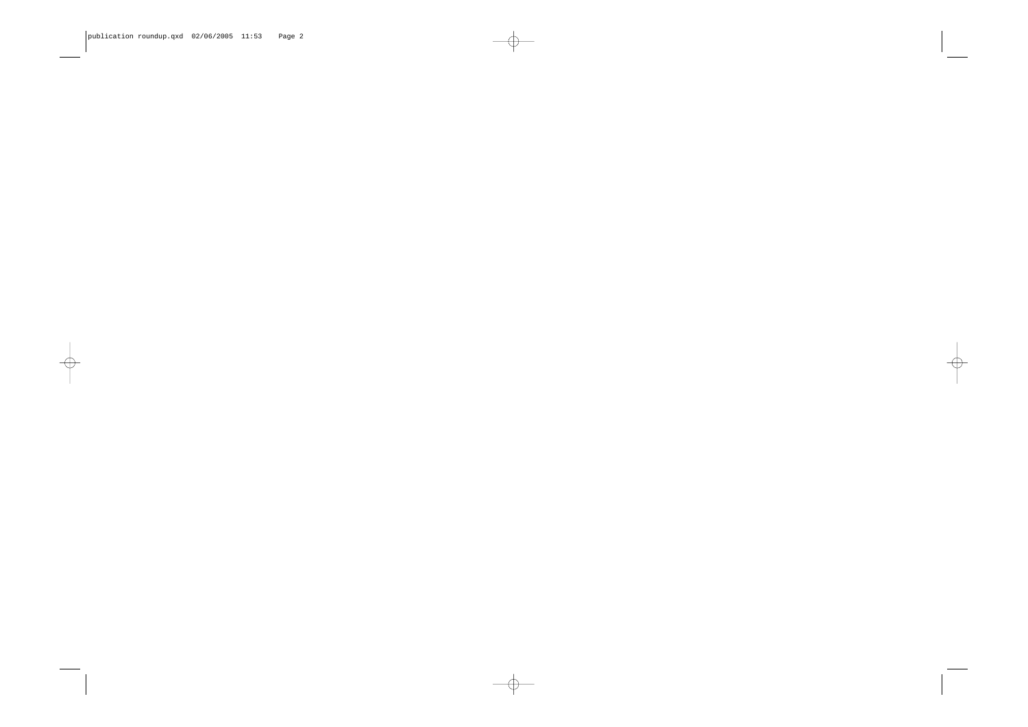$\begin{tabular}{|l|l|} \hline \texttt{publication roundup,qxd} & $\color{red}02/06/2005$ & $\color{red}11:53$ & \texttt{Page 2} \hline \end{tabular}$ 

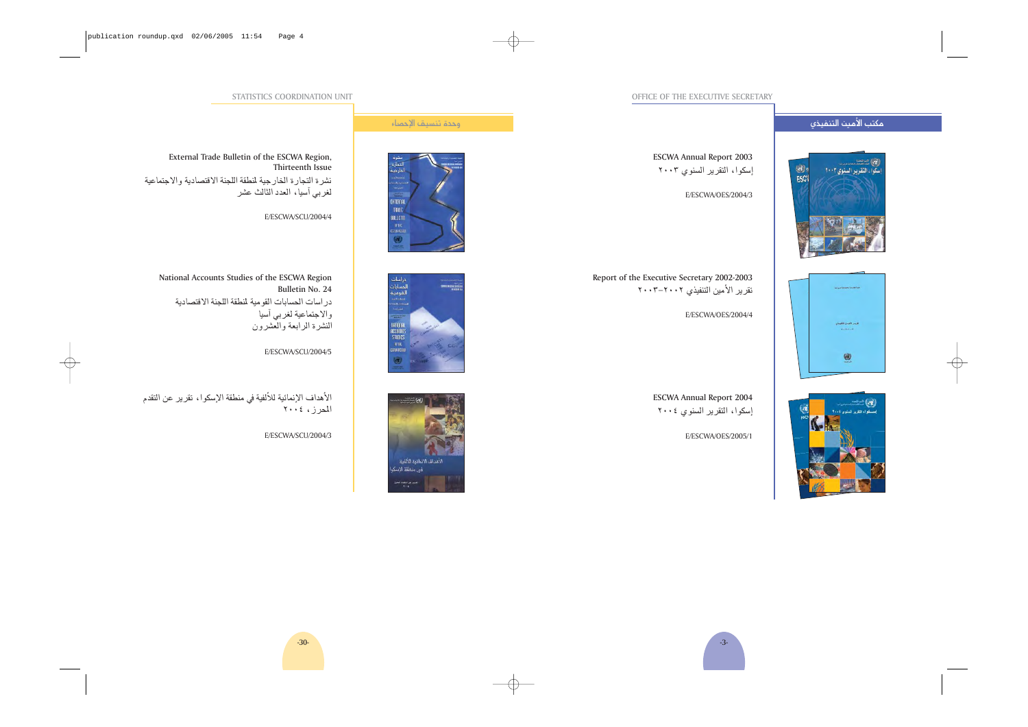#### OFFICE OF THE EXECUTIVE SECRETARY

STATISTICS COORDINATION UNIT

Thirteenth Issue

E/ESCWA/SCU/2004/4

Bulletin No. 24

External Trade Bulletin of the ESCWA Region,

نشرة التجارة الخارجية لمنطقة اللجنة الاقتصادية والاجتماعية<br>لغربي أسيا، العدد الثالث عشر

National Accounts Studies of the ESCWA Region

دراسات الحسابات القومية لمنطقة اللجنة الاقتصادية<br>والاجتماعية لغربي أسيا<br>النشرة الرابعة والعشرون

**ESCWA Annual Report 2003** إسكوا، التقرير السنوي ٢٠٠٣

E/ESCWA/OES/2004/3



وحدة تنسيق الإحصاء

Report of the Executive Secretary 2002-2003 تقرير الأمين التنفيذي ٢٠٠٢–٢٠٠٣

E/ESCWA/OES/2004/4

**ESCWA Annual Report 2004** إسكوا، التقرير السنوي ٢٠٠٤

E/ESCWA/OES/2005/1





الأهداف الإنمائية للألفية في منطقة الإسكوا، تقرير عن التقدم<br>المحرز ، ٢٠٠٤

 $\oplus$ 

E/ESCWA/SCU/2004/3

E/ESCWA/SCU/2004/5

# مكتب الأمين التنفيذي







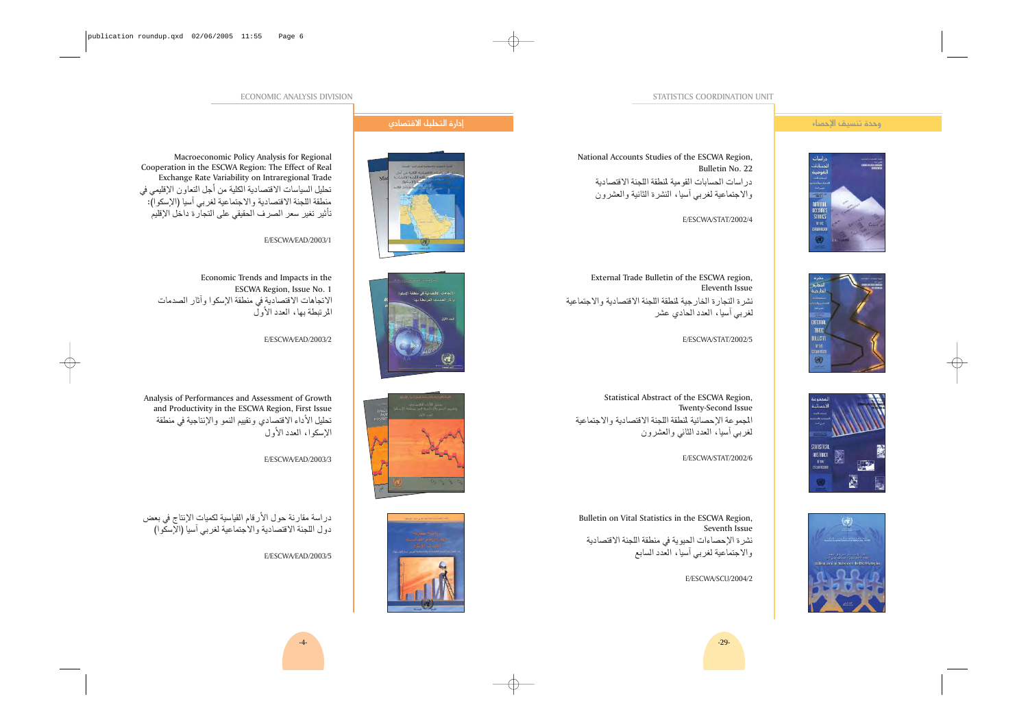#### STATISTICS COORDINATION UNIT

National Accounts Studies of the ESCWA Region. Bulletin No. 22

دراسات الحسابات القومية لمنطقة اللجنة الاقتصادية والاجتماعية لغربي أسيا، النشرة الثانية والعشرون

E/ESCWA/STAT/2002/4

# External Trade Bulletin of the ESCWA region, Eleventh Issue نشرة التجارة الخارجية لمنطقة اللجنة الاقتصادية والاجتماعية لغربي أسيا، العدد الحادي عشر

E/ESCWA/STAT/2002/5

Statistical Abstract of the ESCWA Region, Twenty-Second Issue المجموعة الإحصائية لمنطقة اللجنة الاقتصادية والاجتماعية لغربي أسيا، العدد الثاني والعشرون

E/ESCWA/STAT/2002/6

Bulletin on Vital Statistics in the ESCWA Region, Seventh Issue نشرة الإحصاءات الحيوية في منطقة اللجنة الاقتصادية .<br>والاجتماعية لغربي أسيا، العدد السابع

E/ESCWA/SCU/2004/2

### **ECONOMIC ANALYSIS DIVISION**

Macroeconomic Policy Analysis for Regional

Cooperation in the ESCWA Region: The Effect of Real

تحليل السياسات الاقتصادية الكلية من أجل التعاون الإقليمي في

Exchange Rate Variability on Intraregional Trade

إدارة التحليل الاقتصادى



E/ESCWA/EAD/2003/1 Economic Trends and Impacts in the ESCWA Region, Issue No. 1 الاتجاهات الاقتصادية في منطقة الإسكوا وأثار الصدمات<br>المرتبطة بها، العدد الأول

E/ESCWA/EAD/2003/2



Analysis of Performances and Assessment of Growth and Productivity in the ESCWA Region, First Issue تحليل الأداء الاقتصادي وتقييم النمو والْإنتاجية في منطقة<br>الإسكوا، العدد الأول

E/ESCWA/EAD/2003/3

دراسة مقارنة حول الأرقام القياسية لكميات الإنتاج في بعض<br>دول اللجنة الاقتصادية والاجتماعية لغربي أسيا (الإسكوا)

E/ESCWA/EAD/2003/5



 $-29-$ 

#### وحدة تنسيف الإحصاء







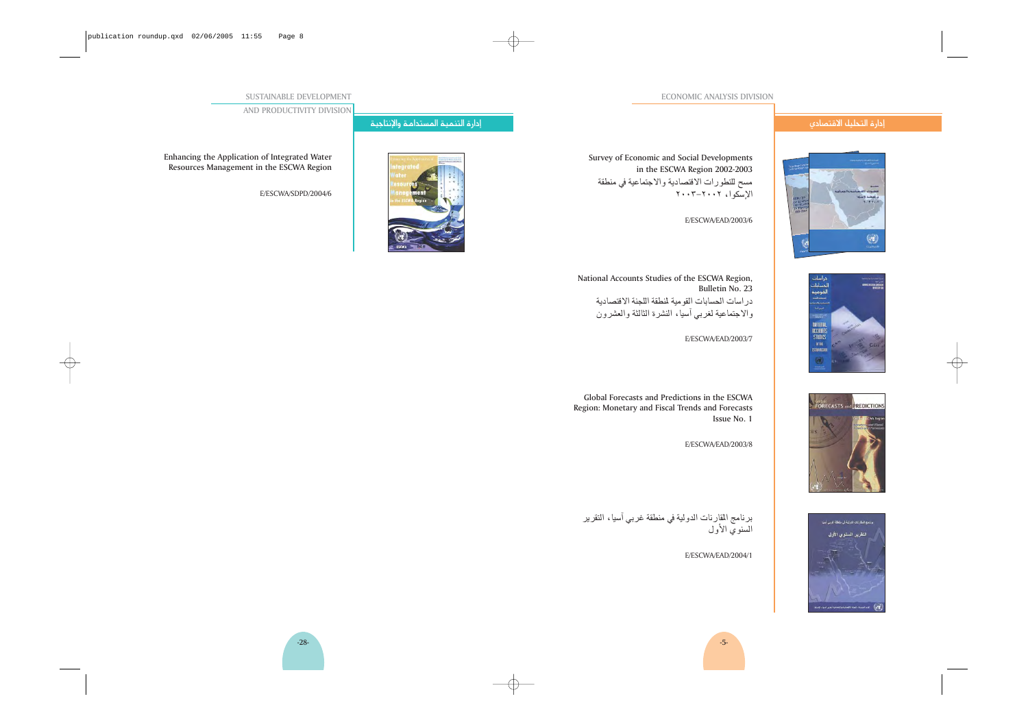#### **ECONOMIC ANALYSIS DIVISION**

# SUSTAINABLE DEVELOPMENT AND PRODUCTIVITY DIVISION

إدارة التنمية المستدامة والإنتاجية

Enhancing the Application of Integrated Water Resources Management in the ESCWA Region

E/ESCWA/SDPD/2004/6

National Accounts Studies of the ESCWA Region, Bulletin No. 23 دراسات الحسابات القومية لمنطقة اللجنة الاقتصادية والاجتماعية لغربي أسياء النشرة الثالثة والعشرون

Survey of Economic and Social Developments

مسح للتطورات الاقتصادية والاجتماعية في منطقة<br>الإسكوا، ٢٠٠٢–٢٠٠٣

in the ESCWA Region 2002-2003

E/ESCWA/EAD/2003/7

E/ESCWA/EAD/2003/6

Global Forecasts and Predictions in the ESCWA Region: Monetary and Fiscal Trends and Forecasts Issue No. 1

E/ESCWA/EAD/2003/8

برنامج المقارنات الدولية في منطقة غربي آسيا، النقرير<br>السنوي الأول

E/ESCWA/EAD/2004/1

 $-5-$ 

# إدارة التحليل الاقتصادى









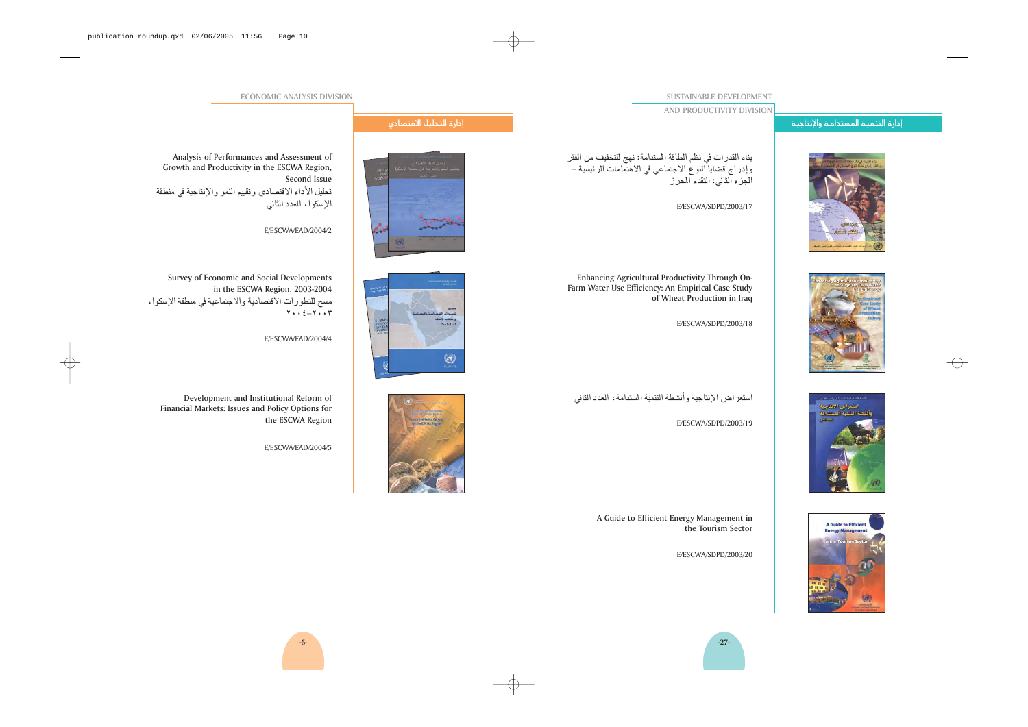#### SUSTAINABLE DEVELOPMENT

AND PRODUCTIVITY DIVISION

بناء القدرات في نظم الطاقة المسدامة: نهج للتخفيف من الفقر<br>وإدراج قضايا النوع الاجتماعي في الاهتمامات الرئيسية –<br>الجزء الثاني: التقدم المحرز

E/ESCWA/SDPD/2003/17

Enhancing Agricultural Productivity Through On-Farm Water Use Efficiency: An Empirical Case Study of Wheat Production in Iraq

E/ESCWA/SDPD/2003/18

استعراض الإنتاجية وأنشطة التنمية المستدامة، العدد الثاني

E/ESCWA/SDPD/2003/19

**ECONOMIC ANALYSIS DIVISION** 

إدارة التحليل الاقتصادى



Analysis of Performances and Assessment of Growth and Productivity in the ESCWA Region, Second Issue تحليل الأداء الاقتصادي وتقييم النمو والإنتاجية في منطقة

**Survey of Economic and Social Developments** 

مسح للتطورات الاقتصادية والاجتماعية في منطقة الإسكوا،<br>٢٠٠٣-٢٠٠٤

Œ

in the ESCWA Region, 2003-2004

E/ESCWA/EAD/2004/2

الإسكوا، العدد الثاني



Development and Institutional Reform of Financial Markets: Issues and Policy Options for the ESCWA Region

E/ESCWA/EAD/2004/5

E/ESCWA/EAD/2004/4

A Guide to Efficient Energy Management in the Tourism Sector

E/ESCWA/SDPD/2003/20

 $-27-$ 

# إدارة التنمية المستدامة والإنتاجية









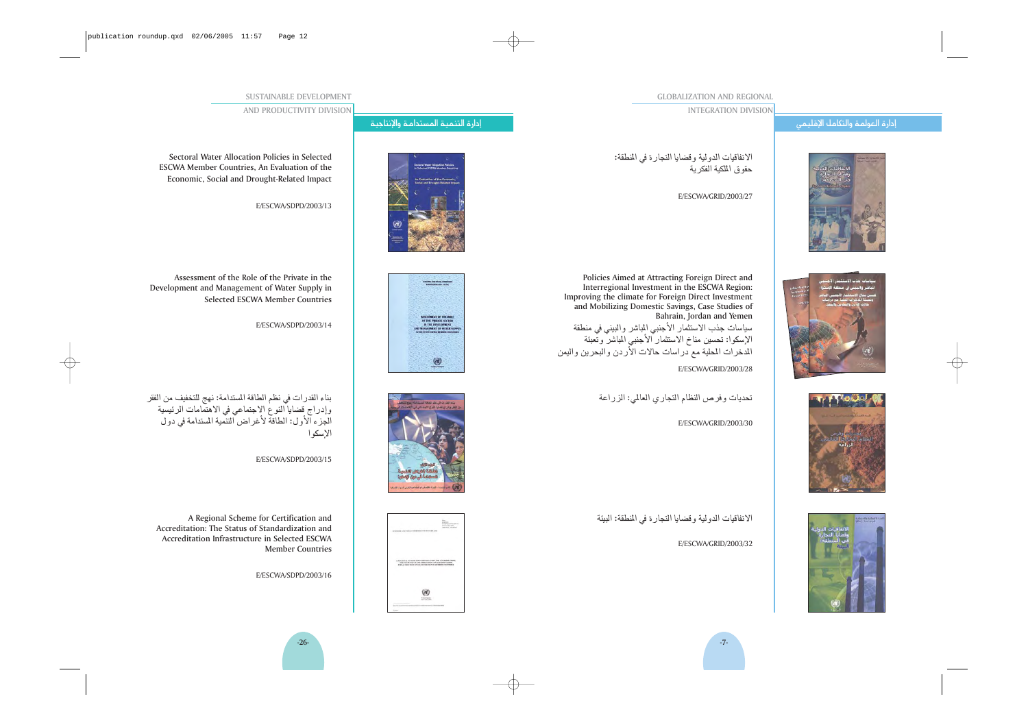# **GLOBALIZATION AND REGIONAL** AND PRODUCTIVITY DIVISION **INTEGRATION DIVISION** إدارة التنمية المستدامة والإنتاجية الاتفاقيات الدولية وقضايا التجارة في المنطقة: حقوق الملكية الفكرية E/ESCWA/GRID/2003/27

Policies Aimed at Attracting Foreign Direct and Interregional Investment in the ESCWA Region: Improving the climate for Foreign Direct Investment and Mobilizing Domestic Savings, Case Studies of Bahrain, Jordan and Yemen

سياسات جذب الاستثمار الأجنبي المباشر والبيني في منطقة<br>الإسكوا: تحسين مناخ الاستثمار الأجنبي المباشر وتعبئة<br>المدخرات المحلية مع دراسات حالات الأردن والبحرين واليمن

E/ESCWA/GRID/2003/28

تحديات وفرص النظام التجاري العالمي: الزراعة

E/ESCWA/GRID/2003/30

الاتفاقيات الدولية وقضايا التجارة في المنطقة: البيئة

E/ESCWA/GRID/2003/32









# SUSTAINABLE DEVELOPMENT

Sectoral Water Allocation Policies in Selected **ESCWA Member Countries, An Evaluation of the** Economic, Social and Drought-Related Impact

E/ESCWA/SDPD/2003/13

Assessment of the Role of the Private in the Development and Management of Water Supply in **Selected ESCWA Member Countries** 

E/ESCWA/SDPD/2003/14

بناء القدرات في نظم الطاقة المستدامة: نهج للتخفيف من الفقر<br>وإدراج قضايا النوع الاجتماعي في الاهتمامات الرئيسية<br>الجزء الأول: الطاقة لأغراض التنمية المستدامة في دول الإسكوا

E/ESCWA/SDPD/2003/15

A Regional Scheme for Certification and Accreditation: The Status of Standardization and Accreditation Infrastructure in Selected ESCWA **Member Countries** 

E/ESCWA/SDPD/2003/16

# إدارة العولمة والتكامل الإقليمي









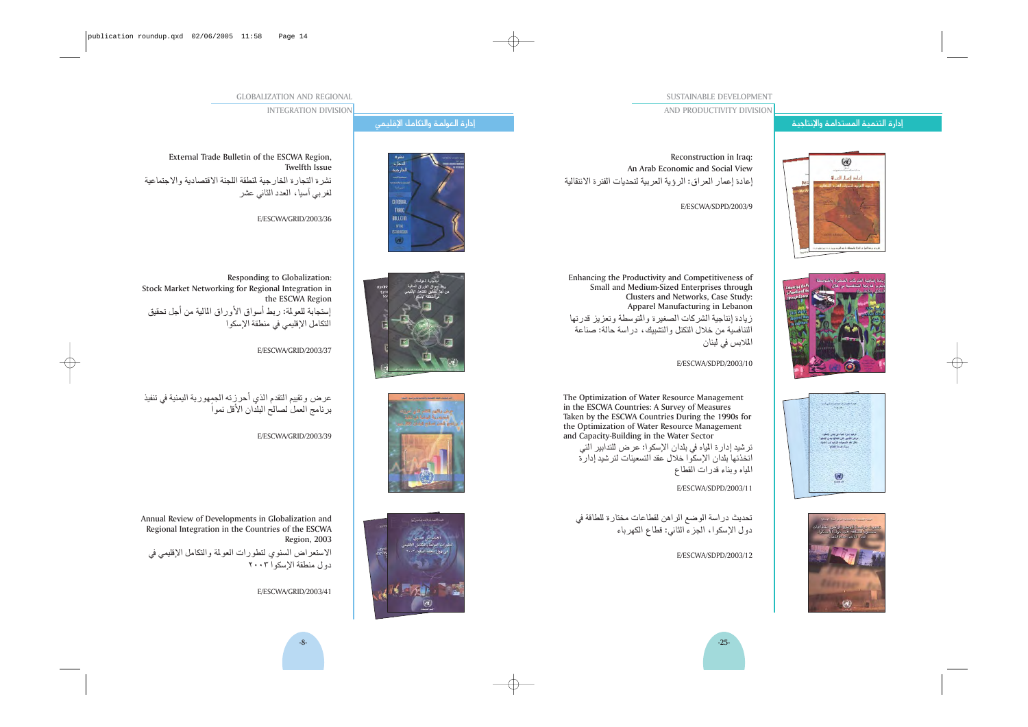#### SUSTAINABLE DEVELOPMENT

AND PRODUCTIVITY DIVISION

# Reconstruction in Iraq: An Arab Economic and Social View إعادة إعمار العراق: الرؤية العربية لتحديات الفترة الانتقالية

E/ESCWA/SDPD/2003/9

Enhancing the Productivity and Competitiveness of Small and Medium-Sized Enterprises through Clusters and Networks, Case Study: Apparel Manufacturing in Lebanon زيادة إنتاجية الشركات الصغيرة والمتوسطة وتعزيز قدرتها

التنافسية من خلال التكتل والتشبيك، دراسة حالة: صناعة الملابس في لبنان

E/ESCWA/SDPD/2003/10

The Optimization of Water Resource Management in the ESCWA Countries: A Survey of Measures Taken by the ESCWA Countries During the 1990s for the Optimization of Water Resource Management and Capacity-Building in the Water Sector

ترشيد إدار ة المياه في بلدان الإسكوا: عرض للتدابير التي<br>اتخذتها بلدان الإسكوا خلال عقد التسعينات لترشيد إدار ة . . .<br>المياه وبناء قدرات القطاع ً

E/ESCWA/SDPD/2003/11

تحديث دراسة الوضع الراهن لقطاعات مختارة للطاقة في<br>دول الإسكوا، الجزء الثاني: قطاع الكهرباء

E/ESCWA/SDPD/2003/12

# **GLOBALIZATION AND REGIONAL**



إدارة العولمة والتكامل الإقليمي







Annual Review of Developments in Globalization and Regional Integration in the Countries of the ESCWA Region, 2003

الاستعراض السنوي لتطورات العولمة والتكامل الإقليمي في 

E/ESCWA/GRID/2003/41



**INTEGRATION DIVISION** 

External Trade Bulletin of the ESCWA Region. Twelfth Issue نشرة التجارة الخارجية لمنطقة اللجنة الاقتصادية والاجتماعية لغربي أسيا، العدد الثاني عشر

E/ESCWA/GRID/2003/36



-<br>إستجابة للعولمة: ربط أسواق الأوراق المالية من أجل تحقيق<br>التكامل الإقليمي في منطقة الإسكوا

E/ESCWA/GRID/2003/37

عرض وتقييم التقدم الذي أحر زته الجمهو رية اليمنية في تنفيذ<br>برنامج العمل لصالح البلدان الأقل نمواً

E/ESCWA/GRID/2003/39

## إدارة التنمية المستدامة والإنتاجية









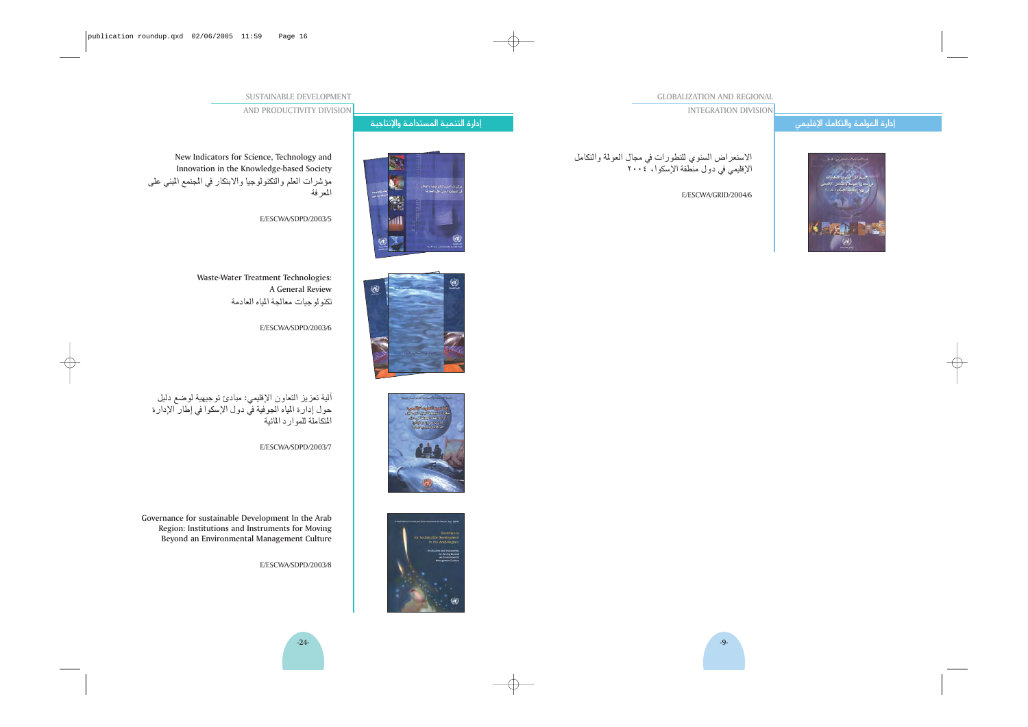#### **GLOBALIZATION AND REGIONAL**

INTEGRATION DIVISION

# الاستعراض السنوي للتطورات في مجال العولمة والنكامل<br>الإقليمي في دول منطقة الإسكوا، ٢٠٠٤

E/ESCWA/GRID/2004/6



# SUSTAINABLE DEVELOPMENT

إدارة التنمية المستدامة والإنتاجية

AND PRODUCTIVITY DIVISION

# New Indicators for Science, Technology and Innovation in the Knowledge-based Society مؤشرات العلم والتكنولوجيا والابتكار في المجتمع المبني على المعرفة

E/ESCWA/SDPD/2003/5



Waste-Water Treatment Technologies: A General Review تكنولوجيات معالجة المياه العادمة

E/ESCWA/SDPD/2003/6





⊕

المتكاملة للموارد المائية

E/ESCWA/SDPD/2003/7

Governance for sustainable Development In the Arab Region: Institutions and Instruments for Moving Beyond an Environmental Management Culture

E/ESCWA/SDPD/2003/8

 $-24-$ 



# .<br>والحارة العولمة والتكامل الإقليمي



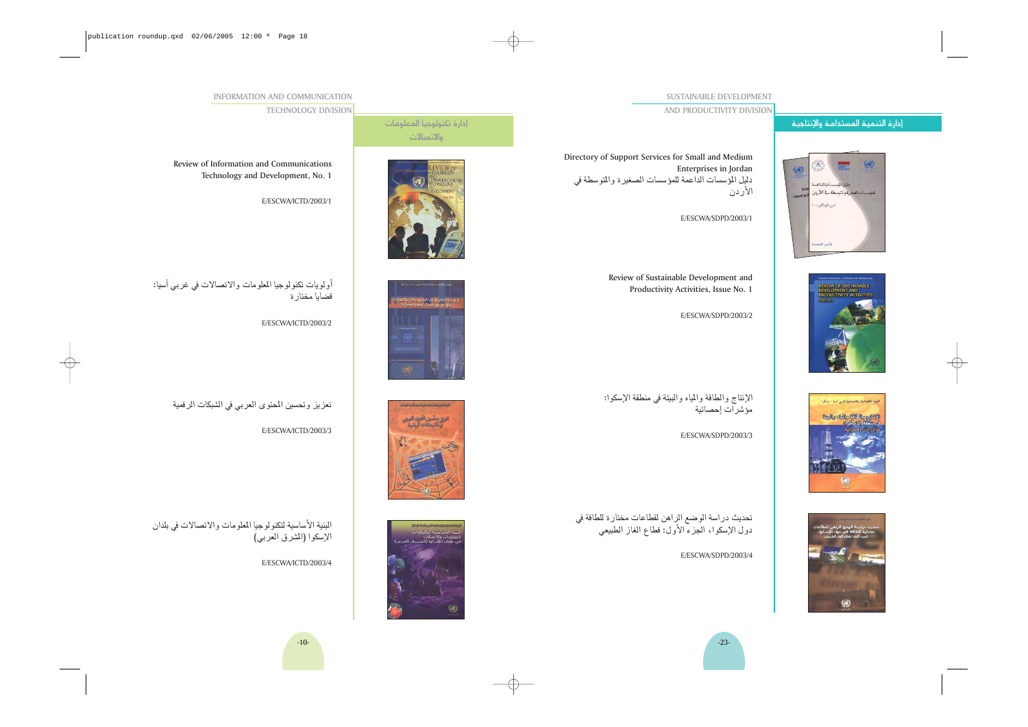#### SUSTAINABLE DEVELOPMENT

AND PRODUCTIVITY DIVISION

Directory of Support Services for Small and Medium Enterprises in Jordan دليل المؤسسات الداعمة للمؤسسات الصغيرة والمتوسطة في الأردن

E/ESCWA/SDPD/2003/1

Review of Sustainable Development and Productivity Activities, Issue No. 1

E/ESCWA/SDPD/2003/2

الإنتاج والطاقة والمياه والبيئة في منطقة الإسكوا:<br>مؤشرات إحصائية

E/ESCWA/SDPD/2003/3

تحديث دراسة الوضع الراهن لقطاعات مختارة للطاقة في<br>دول الإسكوا، الجزء الأول: قطاع الغاز الطبيعي

E/ESCWA/SDPD/2003/4

# INFORMATION AND COMMUNICATION **TECHNOLOGY DIVISION** إدارة تكنولوجيا المعلومات

Review of Information and Communications Technology and Development, No. 1

E/ESCWA/ICTD/2003/1



والاتصالات

أولويات تكنولوجيا المعلومات والاتصالات في غربي أسيا: قضايا مختارة

⊕

E/ESCWA/ICTD/2003/2



تعزيز وتحسين المحتوى العربي في الشبكات الرقمية

E/ESCWA/ICTD/2003/3



E/ESCWA/ICTD/2003/4



 $-23-$ 

# إدارة التنمية المستدامة والإنتاجية







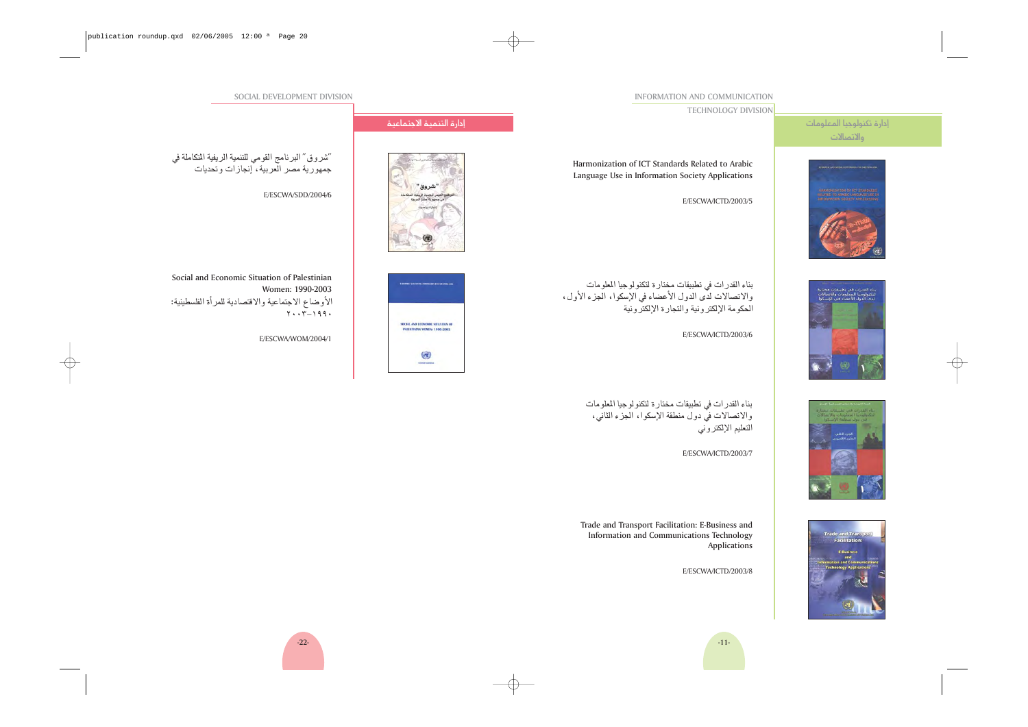$\oplus$ 

# SOCIAL DEVELOPMENT DIVISION INFORMATION AND COMMUNICATION **TECHNOLOGY DIVISION** إدارة التنمية الاجتماعية َ ''شر و ق'' البر نامج القو مي للتنمية الريفية المتكاملة في<br>جمهو رية مصر العربية ، إنجازات وتحديات Harmonization of ICT Standards Related to Arabic Language Use in Information Society Applications شر وق" E/ESCWA/SDD/2004/6 E/ESCWA/ICTD/2003/5 Social and Economic Situation of Palestinian

 $\circ$ 

بناء القدرات في تطبيقات مختارة لتكنولوجيا المعلومات<br>والاتصالات لدى الدول الأعضاء في الإسكوا، الجزء الأول،<br>الحكومة الإلكترونية والتجارة الإلكترونية

E/ESCWA/ICTD/2003/6

Women: 1990-2003 الأوضاع الاجتماعية والاقتصادية للمرأة الفلسطينية:<br>١٩٩٠–٢٠٠٣

E/ESCWA/WOM/2004/1

 $-22-$ 

بناء القدرات في تطبيقات مختارة لتكنولوجيا المعلومات .<br>والانصالات في دول منطقة الإسكوا، الجزء الثاني،<br>النعليم الإلكتروني

E/ESCWA/ICTD/2003/7

Trade and Transport Facilitation: E-Business and Information and Communications Technology Applications

E/ESCWA/ICTD/2003/8

# إدارة تكنولوجيا المعلومات والاتصالات









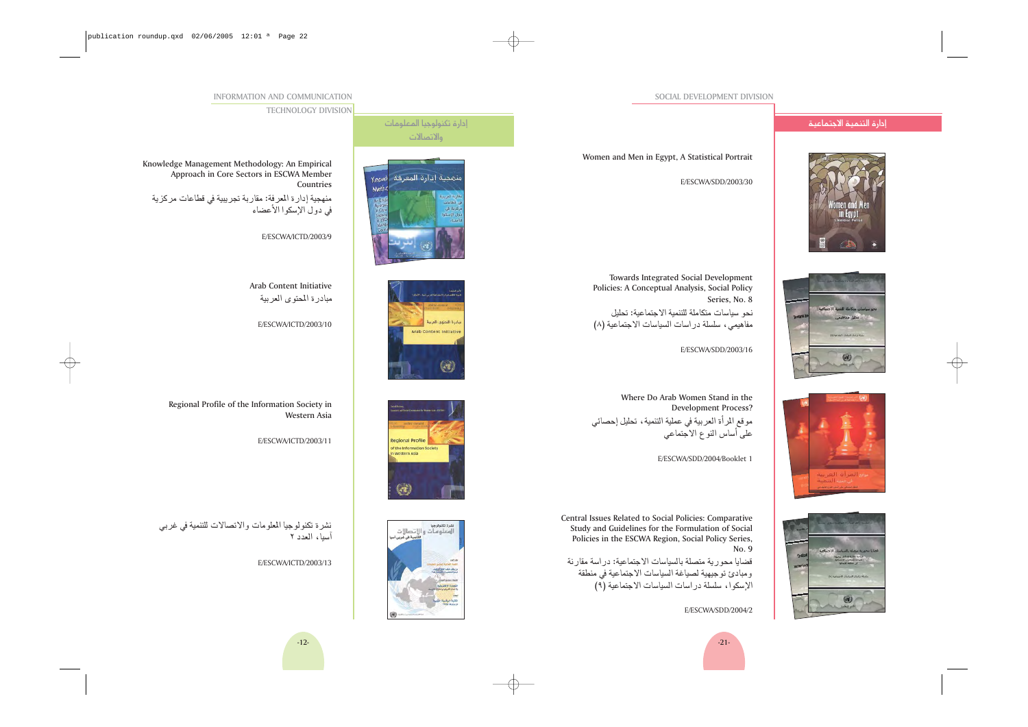#### SOCIAL DEVELOPMENT DIVISION

Women and Men in Egypt, A Statistical Portrait

E/ESCWA/SDD/2003/30

**Towards Integrated Social Development** Policies: A Conceptual Analysis, Social Policy Series, No. 8 نحو سياسات متكاملة للتنمية الاجتماعية: تحليل مفاهيمي، سلسلة دراسات السياسات الاجتماعية (٨)

E/ESCWA/SDD/2003/16

Where Do Arab Women Stand in the **Development Process?** 

موقع المرأة العربية في عملية التنمية ، تحليل إحصائي<br>على أساس النو ع الاجتماعي

E/ESCWA/SDD/2004/Booklet 1

Central Issues Related to Social Policies: Comparative Study and Guidelines for the Formulation of Social Policies in the ESCWA Region, Social Policy Series, No. 9

قضايا محورية متصلة بالسياسات الاجتماعية: دراسة مقارنة<br>ومبادئ توجيهية لصياغة السياسات الاجتماعية في منطقة<br>الإسكوا، سلسلة دراسات السياسات الاجتماعية (٩)

E/ESCWA/SDD/2004/2



# **INFORMATION AND COMMUNICATION**

**TECHNOLOGY DIVISION** 

Knowledge Management Methodology: An Empirical Approach in Core Sectors in ESCWA Member Countries

منهجية إدارة المعرفة: مقاربة تجريبية في قطاعات مركزية<br>في دول الإسكوا الأعضاء

E/ESCWA/ICTD/2003/9

Arab Content Initiative مبادرة المحتوى العربية

E/ESCWA/ICTD/2003/10

Regional Profile of the Information Society in Western Asia

 $\oplus$ 

E/ESCWA/ICTD/2003/11



نشرة تكنولوجيا المعلومات والاتصالات للتنمية في غربي







إدارة تكنولوجيا المعلومات والاتصالات

لمحبة إدارة المعرفة

Knowl

Meth





# إدارة التنمية الاجتماعية









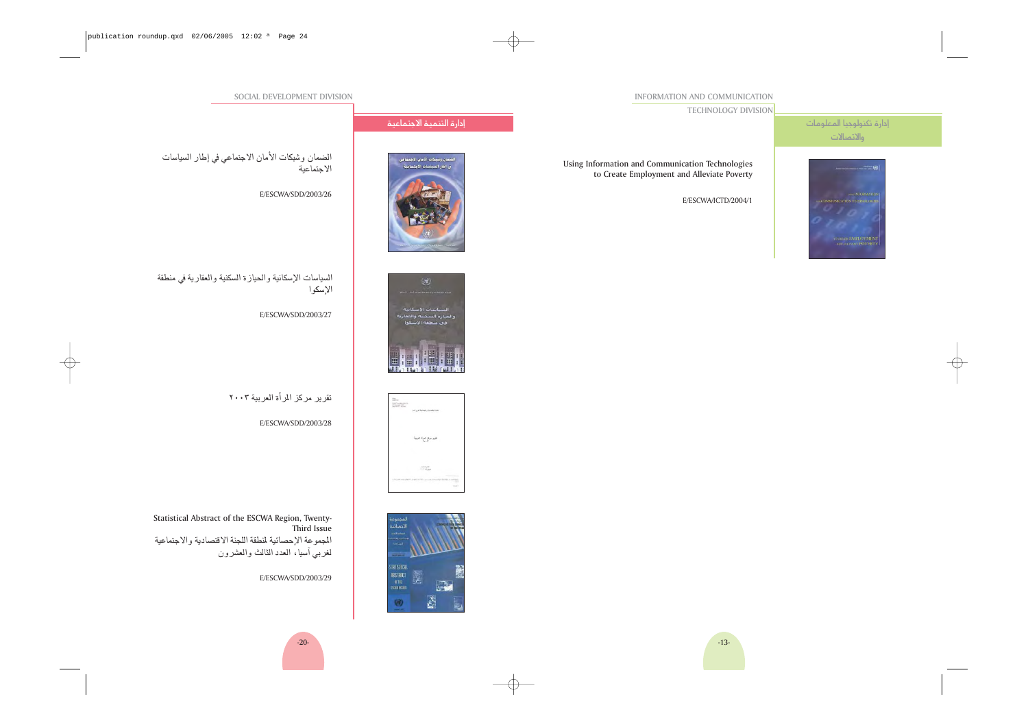#### INFORMATION AND COMMUNICATION

**TECHNOLOGY DIVISION** 

## Using Information and Communication Technologies to Create Employment and Alleviate Poverty

E/ESCWA/ICTD/2004/1

## SOCIAL DEVELOPMENT DIVISION

# إدارة التنمية الاجتماعية

.<br>تضمان وشبكات الأمان الاجغة







الضمان وشبكات الأمان الاجتماعي في إطار السياسات الاجتماعية

E/ESCWA/SDD/2003/26

السياسات الإسكانية والحيازة السكنية والعقارية في منطقة الإسكوا

 $\oplus$ 

E/ESCWA/SDD/2003/27

تقرير مركز المرأة العربية ٢٠٠٣

E/ESCWA/SDD/2003/28

Statistical Abstract of the ESCWA Region, Twenty-Third Issue المجموعة الإحصائية لمنطقة اللجنة الاقتصادية والاجتماعية .<br>لغربي أسيا، العدد الثالث والعشرون

E/ESCWA/SDD/2003/29



 $-13-$ 

# إدارة تكنولوجيا المعلومات والاتصالات



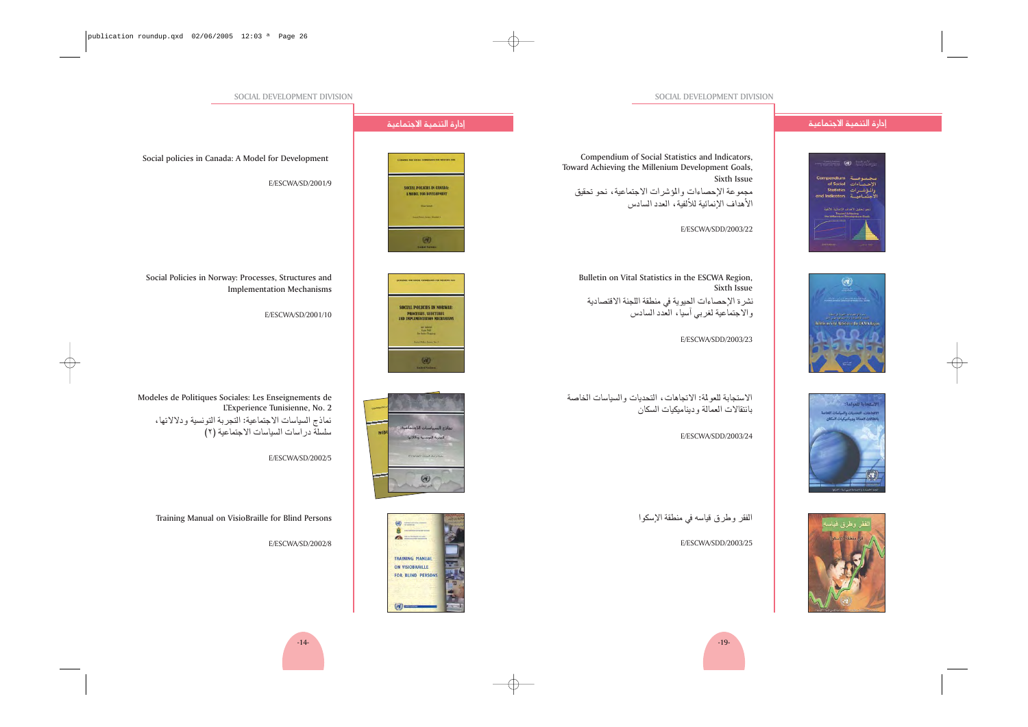| SOCIAL DEVELOPMENT DIVISION                                                                                                                      | إدارة التنمية الاجتماعية                                                                                                                                                                                                                        | SOCIAL DEVELOPMENT DIVISION                                                                                                                                                                                                               |
|--------------------------------------------------------------------------------------------------------------------------------------------------|-------------------------------------------------------------------------------------------------------------------------------------------------------------------------------------------------------------------------------------------------|-------------------------------------------------------------------------------------------------------------------------------------------------------------------------------------------------------------------------------------------|
| Social policies in Canada: A Model for Development<br>E/ESCWA/SD/2001/9                                                                          | VINCORET AND SENTAN COMPASSIONS FOR NEXTERS AND<br>SOCIAL POLICIES IN CANADA:<br><b>A MODEL FOR DEVELOPMENT</b><br><b>Than Small</b><br>$\circledast$<br><b>Called Nation</b>                                                                   | Compendium of Social Statistics and Indicators,<br>Toward Achieving the Millenium Development Goals,<br>Sixth Issue<br>مجموعة الإحصاءات والمؤشرات الاجتماعية، نحو تحقيق<br>الأهداف الإنمائية للألفية، العدد السادس<br>E/ESCWA/SDD/2003/22 |
| Social Policies in Norway: Processes, Structures and<br><b>Implementation Mechanisms</b><br>E/ESCWA/SD/2001/10                                   | ART AND SOCIAL COMMISSION FOR NEXTERN ST<br>SOCIAL POLICIES IN NORWAY:<br>ROCESSES, SRUCTURES<br>AND IMPLEMENTATION MECHANISMS<br><b>For Lebrary</b><br>Topon Ball<br>And Ballyston<br><b>Said Fiday Services</b><br>3<br><b>England Nation</b> | Bulletin on Vital Statistics in the ESCWA Region,<br>Sixth Issue<br>نشرة الإحصاءات الحيوية في منطقة اللجنة الاقتصادية<br>والاجتماعية لغربي أسياء العدد السادس<br>E/ESCWA/SDD/2003/23                                                      |
| Modeles de Politiques Sociales: Les Enseignements de<br>L'Experience Tunisienne, No. 2<br>نماذج السياسات الاجتماعية: التجربة التونسية ودلالاتها، | state for all calculated with                                                                                                                                                                                                                   | الاستجابة للعولمة: الاتجاهات، التحديات والسياسات الخاصة<br>بانتقالات العمالة و ديناميكيات السكان                                                                                                                                          |

E/ESCWA/SDD/2003/24

الفقر وطرق قياسه في منطقة الإسكوا

E/ESCWA/SDD/2003/25





سلسلة دراسات السياسات الاجتماعية (٢)

E/ESCWA/SD/2002/5

Training Manual on VisioBraille for Blind Persons

E/ESCWA/SD/2002/8

 $-14-$ 

# إدارة التنمية الاجتماعية









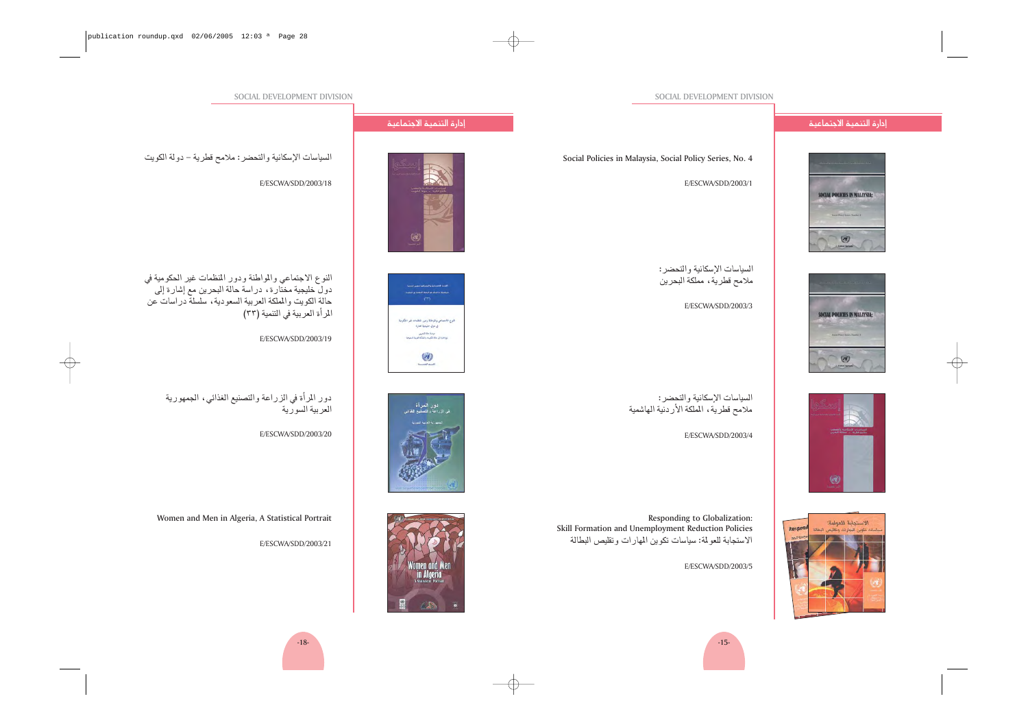### SOCIAL DEVELOPMENT DIVISION

وإدارة التنمية الاجتماعية

Social Policies in Malaysia, Social Policy Series, No. 4

E/ESCWA/SDD/2003/1



السياسات الإسكانية والتحضر:<br>ملامح قطرية، مملكة البحرين

E/ESCWA/SDD/2003/3

السياسات الإسكانية والتحضر:<br>ملامح قطرية، الملكة الأردنية الهاشمية

E/ESCWA/SDD/2003/4

Responding to Globalization: Skill Formation and Unemployment Reduction Policies الاستجابة للعولمة: سياسات تكوين المهارات وتقليص البطالة

E/ESCWA/SDD/2003/5



النوع الاجتماعي والمواطنة ودور المنظمات غير الحكومية في<br>دول خليجية مختارة، دراسة حالة البحرين مع إشارة إلى<br>حالة الكويت والملكة العربية السعودية، سلسلة دراسات عن<br>المرأة العربية في التنمية (٣٣)

⊕

السياسات الإسكانية والتحضر: ملامح قطرية – دولة الكويت

E/ESCWA/SDD/2003/19

SOCIAL DEVELOPMENT DIVISION

E/ESCWA/SDD/2003/18

دور المرأة في الزراعة والتصنيع الغذائي، الجمهورية<br>العربية السورية

E/ESCWA/SDD/2003/20



E/ESCWA/SDD/2003/21

 $-18-$ 



# .<br>وادارة التنمية الاجتماعية